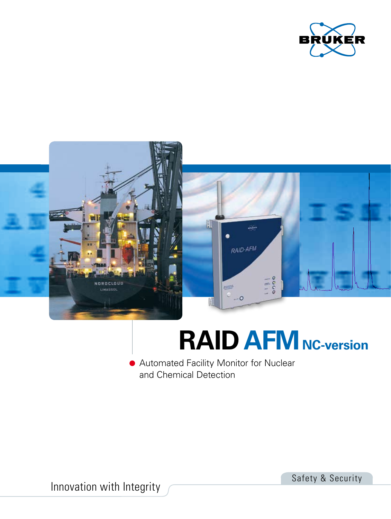



## **RAID AFM** NC-version

**Automated Facility Monitor for Nuclear** and Chemical Detection

Innovation with Integrity

Safety & Security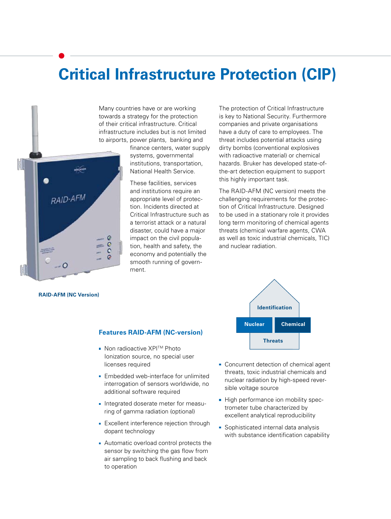## **Critical Infrastructure Protection (CIP)**

Many countries have or are working towards a strategy for the protection of their critical infrastructure. Critical infrastructure includes but is not limited to airports, power plants, banking and

RAID-AFM G  $\tilde{c}$ 福吉  $\circ$ 

finance centers, water supply systems, governmental institutions, transportation, National Health Service.

These facilities, services and institutions require an appropriate level of protection. Incidents directed at Critical Infrastructure such as a terrorist attack or a natural disaster, could have a major impact on the civil population, health and safety, the economy and potentially the smooth running of government.

The protection of Critical Infrastructure is key to National Security. Furthermore companies and private organisations have a duty of care to employees. The threat includes potential attacks using dirty bombs (conventional explosives with radioactive material) or chemical hazards. Bruker has developed state-ofthe-art detection equipment to support this highly important task.

The RAID-AFM (NC version) meets the challenging requirements for the protection of Critical Infrastructure. Designed to be used in a stationary role it provides long term monitoring of chemical agents threats (chemical warfare agents, CWA as well as toxic industrial chemicals, TIC) and nuclear radiation.

**RAID-AFM (NC Version)** 

#### **Features RAID-AFM (NC-version)**

- Non radioactive XPI<sup>™</sup> Photo Ionization source, no special user licenses required
- **Embedded web-interface for unlimited** interrogation of sensors worldwide, no additional software required
- **Integrated doserate meter for measu**ring of gamma radiation (optional)
- **Excellent interference rejection through** dopant technology
- Automatic overload control protects the sensor by switching the gas flow from air sampling to back flushing and back to operation



- Concurrent detection of chemical agent threats, toxic industrial chemicals and nuclear radiation by high-speed reversible voltage source
- High performance ion mobility spectrometer tube characterized by excellent analytical reproducibility
- Sophisticated internal data analysis with substance identification capability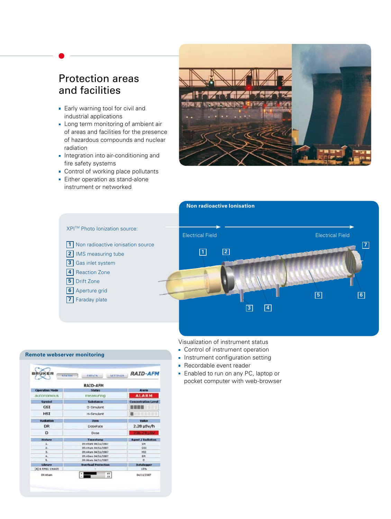### Protection areas and facilities

- **Early warning tool for civil and** industrial applications
- **Long term monitoring of ambient air** of areas and facilities for the presence of hazardous compounds and nuclear radiation
- **Integration into air-conditioning and** fire safety systems
- **Control of working place pollutants**
- **Either operation as stand-alone** instrument or networked





#### Visualization of instrument status

- Control of instrument operation
- **Instrument configuration setting**
- Recordable event reader
- **Enabled to run on any PC, laptop or** pocket computer with web-browser

#### **Remote webserver monitoring**

| <b>BRUKER</b><br><b>STATIS</b> | SETTINGS:<br>EXENTS        | <b>RAID-AFM</b>            |
|--------------------------------|----------------------------|----------------------------|
|                                | RAID-AFM                   |                            |
| Operation Made                 | <b>Status</b>              | Alarm                      |
| autonomous                     | measuring                  | <b>ALARM</b>               |
| Symbol                         | Substance                  | <b>Concentration Level</b> |
| <b>GSI</b>                     | G-Gimulent                 |                            |
| <b>HST</b>                     | H-Simulant                 |                            |
| Rediation                      | <b>Item</b>                | Value                      |
| DR                             | DoseRate                   | 2.28 uSv/h                 |
| D                              | Dose                       | 206-24186                  |
| <b>History</b>                 | Timestams                  | <b>Agent / Endistion</b>   |
| 1.                             | 05:45am 04/1L/2007         | <b>DR</b>                  |
| ž,                             | 05:44am 04/11/2002         | Ctt                        |
| ä.                             | 05:44am 04/1L/2007         | <b>HS3</b>                 |
| 4.                             | 05:40am 04/11/2007         | DÆ                         |
| ĸ.                             | 05:06am 04/11/2002         | n                          |
| <b>Library</b>                 | <b>Overload Protection</b> | Datalogger                 |
| [A] 6 FM01 CWA35               |                            | 15%                        |
| Olivátiam.                     | 60<br>33                   | 04/11/2307                 |